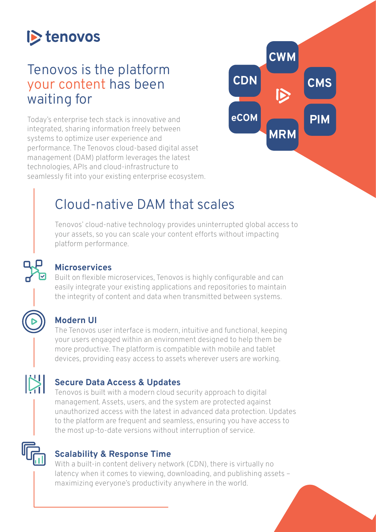

# Tenovos is the platform your content has been waiting for

Today's enterprise tech stack is innovative and integrated, sharing information freely between systems to optimize user experience and performance. The Tenovos cloud-based digital asset management (DAM) platform leverages the latest technologies, APIs and cloud-infrastructure to seamlessly fit into your existing enterprise ecosystem.



# Cloud-native DAM that scales

Tenovos' cloud-native technology provides uninterrupted global access to your assets, so you can scale your content efforts without impacting platform performance.

### **Microservices**

Built on flexible microservices, Tenovos is highly configurable and can easily integrate your existing applications and repositories to maintain the integrity of content and data when transmitted between systems.

### **Modern UI**

 $\mathbb{N}$ 

The Tenovos user interface is modern, intuitive and functional, keeping your users engaged within an environment designed to help them be more productive. The platform is compatible with mobile and tablet devices, providing easy access to assets wherever users are working.

#### **Secure Data Access & Updates**

Tenovos is built with a modern cloud security approach to digital management. Assets, users, and the system are protected against unauthorized access with the latest in advanced data protection. Updates to the platform are frequent and seamless, ensuring you have access to the most up-to-date versions without interruption of service.

### **Scalability & Response Time**

With a built-in content delivery network (CDN), there is virtually no latency when it comes to viewing, downloading, and publishing assets – maximizing everyone's productivity anywhere in the world.